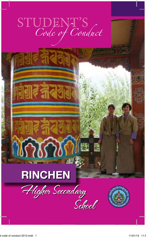# STUDENT'S *Code of Conduct*

# **RINCHEN**

**MAXAXA** 



靈

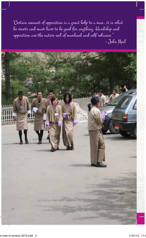"Certain amount of opposition is a great help to a man, it is what he wants and must have to be good for anything. Hardship and opposition are the native soil of manhood and self reliance." - John Neal

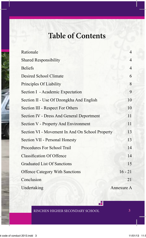# **Table of Contents**

| Rationale                                       | $\overline{4}$ |
|-------------------------------------------------|----------------|
| <b>Shared Responsibility</b>                    | 4              |
| <b>Beliefs</b>                                  | $\overline{4}$ |
| Desired School Climate                          | 6              |
| Principles Of Liability                         | 8              |
| Section I - Academic Expectation                | 9              |
| Section II - Use Of Dzongkha And English        | 10             |
| Section III - Respect For Others                | 10             |
| Section IV - Dress And General Deportment       | 11             |
| Section V - Property And Environment            | 11             |
| Section VI - Movement In And On School Property | 13             |
| Section VII - Personal Honesty                  | 13             |
| Procedures For School Trail                     | 14             |
| <b>Classification Of Offence</b>                | 14             |
| <b>Graduated List Of Sanctions</b>              | 15             |
| <b>Offence Category With Sanctions</b>          | $16 - 21$      |
| Conclusion                                      | 21             |
| Undertaking                                     | Annexure A     |

RINCHEN HIGHER SECONDARY SCHOOL **3**

Æ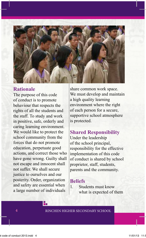

# **Rationale**

The purpose of this code of conduct is to promote behaviour that respects the rights of all the students and the staff. To study and work in positive, safe, orderly and caring learning environment. We would like to protect the school community from the forces that do not promote education, perpetuate good actions, and correct those who have gone wrong. Guilty shall not escape and innocent shall not suffer. We shall secure justice to ourselves and our posterity. Order, organization and safety are essential when a large number of individuals

share common work space. We must develop and maintain a high quality learning environment where the right of each person for a secure, supportive school atmosphere is protected.

# **Shared Responsibility**

Under the leadership of the school principal, responsibility for the effective implementation of this code of conduct is shared by school proprietor, staff, students, parents and the community.

# **Beliefs**

1. Students must know what is expected of them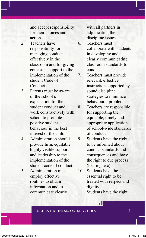and accept responsibility for their choices and actions.

- 2. Teachers have responsibility for managing conduct effectively in the classroom and for giving consistent support to the implementation of the student Code of Conduct.
- 3. Parents must be aware of the school's expectation for the student conduct and work constructively with school to promote positive student behaviour in the best interest of the child.
- 4. Administration should provide firm, equitable, highly visible support and leadership to the implementation of the student code of conduct.
- 5. Administration must employ effective routines to obtain information and to communicate clearly

with all partners in adjudicating the discipline issues.

6. Teachers must collaborate with students in developing and clearly communicating classroom standards for conduct.

7. Teachers must provide relevant, effective instruction supported by sound discipline strategies to minimize behavioural problems.

- 8. Teachers are responsible for supporting the equitable, timely and appropriate application of school-wide standards of conduct.
- 9. Students have the right to be informed about conduct standards and consequences and have the right to due process (hearing, etc).
- 10. Students have the essential right to be treated with respect and dignity.
- 11. Students have the right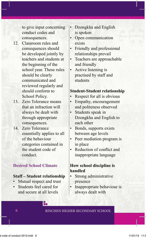to give input concerning conduct codes and consequences.

- 12. Classroom rules and consequences should be developed jointly by teachers and students at the beginning of the school year. These rules should be clearly communicated and reviewed regularly and should conform to School Policy.
- 13. Zero Tolerance means that an infraction will always be dealt with through appropriate consequences.
- 14. Zero Tolerance essentially applies to all of the behaviour categories contained in the student code of conduct.

# **Desired School Climate**

# **Staff – Student relationship**

- Mutual respect and trust
- Students feel cared for and secure at all levels
- Dzongkha and English is spoken
- Open communication exists
- Friendly and professional relationships prevail
- Teachers are approachable and friendly
- Active listening is practised by staff and students

# **Student-Student relationship**

- Respect for all is obvious
- Empathy, encouragement and politeness observed
- Students speak in Dzongkha and English to each other
- Bonds, supports exists between age levels
- Peer mediation program is in place
- Reduction of conflict and inappropriate language

# **How school discipline is handled**

- Strong administrative presence
- Inappropriate behaviour is always dealt with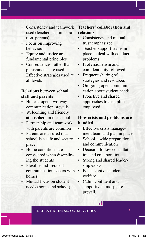- Consistency and teamwork used (teachers, administration, parents)
- Focus on improving behaviour
- Equity and justice are fundamental principles
- Consequences rather than punishments are used
- Effective strategies used at all levels

# **Relations between school staff and parents**

- Honest, open, two-way communication prevails
- Welcoming and friendly atmosphere in the school
- Partnership and teamwork with parents are common
- Parents are assured that school is a safe and secure place
- Home conditions are considered when disciplining the students
- Flexible and frequent communication occurs with homes
- Mutual focus on student needs (home and school)

# **Teachers' collaboration and relations**

- Consistency and mutual trust emphasized
- Teacher support teams in place to deal with conduct problems
- Professionalism and confidentiality followed
- Frequent sharing of strategies and resources
- On-going open communication about student needs
- Proactive and shared approaches to discipline employed

# **How crisis and problems are handled**

- Effective crisis management team and plan in place
- School wide preparation and communication
- Decision follow consultation and collaboration
- Strong and shared leadership exists
- Focus kept on student welfare
- Calm, confident and supportive atmosphere prevail.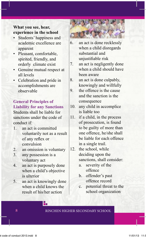# **What you see, hear, experience in the school**

- Students' happiness and academic excellence are apparent
- Pleasant, comfortable, spirited, friendly, and orderly climate exist
- Genuine mutual respect at all levels
- Celebration and pride in accomplishments are observable

# **General Principles of Liability for any Sanctions**

Students shall be liable for sanctions under the code of conduct if:

- 1. an act is committed voluntarily not as a result of any reflex or convulsion
- 2. an omission is voluntary
- 3. any possession is a voluntary act
- 4. an act is purposely done when a child's objective is ulterior
- 5. an act is knowingly done when a child knows the result of his/her action



- 6. an act is done recklessly when a child disregards substantial and unjustifiable risk
- 7. an act is negligently done when a child should have been aware
- 8. an act is done culpably, knowingly and willfully
- 9. the offence is the cause and the sanction is the consequence
- 10. any child in accomplice is liable too
- 11. if a child, in the process of prosecution, is found to be guilty of more than one offence, he/she shall be liable for each offence in a single trail.
- 12. the school, while deciding upon the sanctions, shall consider:
	- a. severity of the offence
	- b. offender's past offence record
	- c. potential threat to the school organization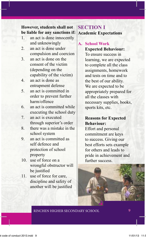# **However, students shall not be liable for any sanctions if:**

- 1. an act is done innocently and unknowingly
- 2. an act is done under compulsion and coercion
- 3. an act is done on the consent of the victim (depending on the capability of the victim)
- 4. an act is done as entrapment defense
- 5. an act is committed in order to prevent further harm/offence
- 6. an act is committed while executing the school duty
- 7. an act is executed through superior's order
- 8. there was a mistake in the school system
- 9. an act is committed as self defence and protection of school property
- 10. use of force on a wrongful obstructor will be justified
- 11. use of force for care, discipline and safety of another will be justified

# **SECTION I Academic Expectations**

# **A. School Work**

**Expected Behaviour:** To ensure success in learning, we are expected to complete all the class assignments, homework and tests on time and to the best of our ability. We are expected to be appropriately prepared for all the classes with necessary supplies, books, sports kits, etc.

# **Reasons for Expected Behaviour:**

Effort and personal commitment are keys to success. Giving our best efforts sets example for others and leads to pride in achievement and further success.

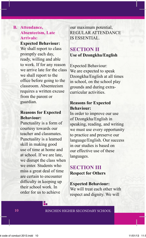# **B. Attendance, Absenteeism, Late Arrivals:**

**Expected Behaviour:** We shall report to class promptly each day, ready, willing and able to work. If for any reason we arrive late for the class we shall report to the office before going to the classroom. Absenteeism requires a written excuse from the parent or guardian.

# **Reasons for Expected Behaviour:**

Punctuality is a form of courtesy towards our teacher and classmates. Punctuality is a learned skill in making good use of time at home and at school. If we are late, we disrupt the class when we enter. Students who miss a great deal of time are certain to encounter difficulty in keeping up their school work. In order for us to achieve

our maximum potential, REGULAR ATTENDANCE IS ESSENTIAL.

# **SECTION II Use of Dzongkha/English**

Expected Behaviour: We are expected to speak Dzongkha/English at all times in school, on the school play grounds and during extracurricular activities.

# **Reasons for Expected Behaviour:**

In order to improve our use of Dzongkha/English in speaking, reading, and writing we must use every opportunity to practice and preserve our language/English. Our success in our studies is based on our effective use of these languages.

# **SECTION III Respect for Others**

# **Expected Behaviour:** We will treat each other with respect and dignity. We will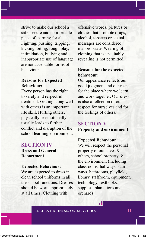strive to make our school a safe, secure and comfortable place of learning for all. Fighting, pushing, tripping, kicking, biting, rough play, intimidation, bullying and inappropriate use of language are not acceptable forms of behaviour.

# **Reasons for Expected Behaviour:**

Every person has the right to safety and respectful treatment. Getting along well with others is an important life skill. Hurting others, physically or emotionally usually leads to further conflict and disruption of the school learning environment.

# **SECTION IV**

**Dress and General Deportment**

# **Expected Behaviour:**

We are expected to dress in clean school uniforms in all the school functions. Dresses should be worn appropriately at all times. Clothing with

offensive words, pictures or clothes that promote drugs, alcohol, tobacco or sexual messages are considered inappropriate. Wearing of clothing that is unsuitably revealing is not permitted.

# **Reasons for the expected behaviour:**

Our appearance reflects our good judgment and our respect for the place where we learn and work together. Our dress is also a reflection of our respect for ourselves and for the feelings of others.

# **SECTION V Property and environment**

# **Expected Behaviour**

We will respect the personal property of ourselves & others, school property & the environment (including classrooms, hallways, stairways, bathrooms, playfield, library, staffroom, equipment, technology, textbooks, supplies, plantations and orchard)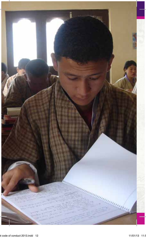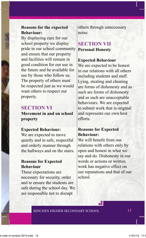# **Reasons for the expected Behaviour:**

By displaying care for our school property we display pride in our school community and ensure that our property and facilities will remain in good condition for our use in the future and be available for use by those who follow us. The property of others must be respected just as we would want others to respect our property.

# **SECTION VI**

**Movement in and on school property**

## **Expected Behaviour:**

We are expected to move quietly and in safe, respectful and orderly manner through the hallways and on the stairs.

# **Reasons for Expected Behaviour**

These expectations are necessary for security, order and to ensure the students are safe during the school day. We are responsible not to disrupt

others through unnecessary noise.

# **SECTION VII Personal Honesty**

# **Expected Behaviour**

We are expected to be honest in our relations with all others including students and staff. Lying, stealing and cheating are forms of dishonesty and as such are forms of dishonesty and as such are unacceptable behaviours. We are expected to submit work that is original and represents our own best efforts.

# **Reasons for Expected Behaviour:**

We will benefit from our relations with others only by open and honest in what we say and do. Dishonesty in our words or actions or written work has negative effect on our reputations and that of our school.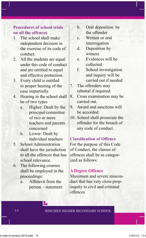# **Procedures of school trials on all the offences**

- 1. The school shall make independent decision in the exercise of its code of conduct.
- 2. All the students are equal under this code of conduct and are entitled to equal and effective protection.
- 3. Every child is entitled to proper hearing of the case impartially.
- 4. Hearing in the school shall be of two types
	- a. Higher: Dealt by the principal/committee of two or more teachers and parents concerned
	- b. Lower: Dealt by individual teachers
- 5. School Administration shall have the jurisdiction to all the offences that has school relevance.
- 6. The following courses shall be employed in the proceedings:
	- a. Affidavit from the person – statement
- b. Oral deposition by the offender
- c. Written or oral interrogation
- d. Deposition by witness
- e. Evidences will be collected
- f. School investigation and inquiry will be carried out if needed
- 7. The offenders may rebuttal if required.
- 8. Cross examination may be carried out.
- 9. Award and sanctions will be accorded.
- 10. School shall prosecute the offender for the breach of any code of conduct.

# **Classification of Offence**

For the purpose of this Code of Conduct, the classes of offences shall be as categorized as follows:

# **A Degree Offence**

Maximum and severe misconduct that has very close propinquity to civil and criminal offences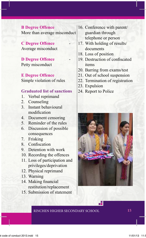**B Degree Offence** More than average misconduct

**C** Degree Offence Average misconduct

**D** Degree Offence Petty misconduct

**E Degree Offence** Simple violation of rules

# **Graduated list of sanctions**

- 1. Verbal reprimand
- 2. Counseling
- 3. Instant behavioural modification
- 4. Document censoring
- 5. Reminder of the rules
- 6. Discussion of possible consequences
- 7. Frisking
- 8. Confiscation
- 9. Detention with work
- 10. Recording the offences
- 11. Loss of participation and privileges/deprivation
- 12. Physical reprimand
- 13. Warning
- 14. Making financial restitution/replacement
- 15. Submission of statement
- 16. Conference with parent/ guardian through telephone or person
- 17. With holding of results/ documents
- 18. Loss of position
- 19. Destruction of confiscated items
- 20. Barring from exams/test
- 21. Out of school suspension
- 22. Termination of registration
- 23. Expulsion
- 24. Report to Police

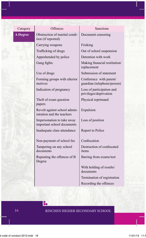| Category | Offences                                                   | <b>Sanctions</b>                                       |
|----------|------------------------------------------------------------|--------------------------------------------------------|
| A Degree | Obstruction of marital condi-<br>tion (if reported)        | Document censoring                                     |
|          | Carrying weapons                                           | Frisking                                               |
|          | Trafficking of drugs                                       | Out of school suspension                               |
|          | Apprehended by police                                      | Detention with work                                    |
|          | Gang fights                                                | Making financial restitution/<br>replacement           |
|          | Use of drugs                                               | Submission of statement                                |
|          | Forming groups with ulterior<br>motives                    | Conference with parent/<br>guardian (telephone/person) |
|          | Indication of pregnancy                                    | Loss of participation and<br>privileges/deprivation    |
|          | Theft of exam question<br>papers                           | Physical reprimand                                     |
|          | Revolt against school admin-<br>istration and the teachers | Expulsion                                              |
|          | Impersonation to take away<br>important school documents   | Loss of position                                       |
|          | Inadequate class attendance                                | Report to Police                                       |
|          | Non-payment of school fee                                  | Confiscation                                           |
|          | Tampering on any school<br>documents                       | Destruction of confiscated<br>items                    |
|          | Repeating the offences of B<br>Degree                      | Barring from exams/test                                |
|          |                                                            | With holding of results/<br>documents                  |
|          |                                                            | Termination of registration                            |
|          |                                                            | Recording the offences                                 |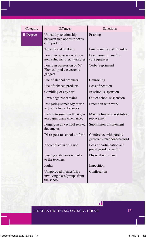# Category | Offences | Sanctions

**B Degree** Unhealthy relationship between two opposite sexes (if reported)

Found in possession of pornographic pictures/literatures

Found in possession of M/ Phones/i-pods/ electronic gadgets

Use of alcohol products Counseling

Use of tobacco products | Loss of position

Gambling of any sort In-school suspension

Instigating somebody to use any addictive substances

Failing to summon the registered guardians when asked

Forgery in any school related documents

Disrespect to school uniform | Conference with parent/

Passing audacious remarks to the teachers

Unapproved picnics/trips involving class/groups from the school

Frisking

Truancy and bunking Final reminder of the rules Discussion of possible consequences Verbal reprimand

Revolt against captains | Out of school suspension

Detention with work

Making financial restitution/ replacement

Submission of statement

guardian (telephone/person)

Accomplice in drug use | Loss of participation and privileges/deprivation

Physical reprimand

Fights Imposition Confiscation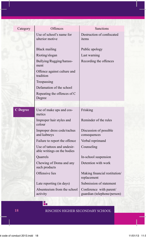| Category        | Offences                                                   | <b>Sanctions</b>                                       |
|-----------------|------------------------------------------------------------|--------------------------------------------------------|
|                 | Use of school's name for<br>ulterior motive                | Destruction of confiscated<br>items                    |
|                 | <b>Black mailing</b>                                       | Public apology                                         |
|                 | Rioting/slogan                                             | Last warning                                           |
|                 | Bullying/Ragging/harass-<br>ment                           | Recording the offences                                 |
|                 | Offence against culture and<br>tradition                   |                                                        |
|                 | Trespassing                                                |                                                        |
|                 | Defamation of the school                                   |                                                        |
|                 | Repeating the offences of C<br>Degree                      |                                                        |
|                 |                                                            |                                                        |
| <b>C</b> Degree | Use of make ups and cos-<br>metics                         | Frisking                                               |
|                 | Improper hair styles and<br>colour                         | Reminder of the rules                                  |
|                 | Improper dress code/rachus<br>and kabneys                  | Discussion of possible<br>consequences                 |
|                 | Failure to report the offence                              | Verbal reprimand                                       |
|                 | Use of tattoos and undesir-<br>able writings on the bodies | Counseling                                             |
|                 | Ouarrels                                                   | In-school suspension                                   |
|                 | Chewing of Doma and any<br>such products                   | Detention with work                                    |
|                 | Offensive lies                                             | Making financial restitution/<br>replacement           |
|                 | Late reporting (in days)                                   | Submission of statement                                |
|                 | Absenteeism from the school<br>activity                    | Conference with parent/<br>guardian (telephone/person) |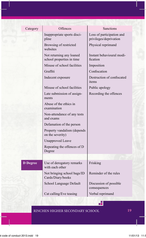### Category | Offences | Sanctions

Inappropriate sports discipline

Browsing of restricted websites

Not returning any loaned school properties in time

Misuse of school facilities | Imposition

Misuse of school facilities | Public apology

Late submission of assignments

Abuse of the ethics in examination

Non-attendance of any tests and exams

Defamation of the person

Property vandalism (depends on the severity)

Unapproved Leave

Repeating the offences of D Degree

**D Degree** Use of derogatory remarks with each other

> Not bringing school bags/ID Cards/Diary/books

Cat calling/Eve teasing Verbal reprimand

Loss of participation and privileges/deprivation Physical reprimand

Instant behavioural modification

Graffiti Confiscation

Indecent exposure Destruction of confiscated items

Recording the offences

### Frisking

Reminder of the rules

School Language Default | Discussion of possible consequences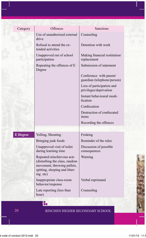| Category        | Offences                                                                                                                                | <b>Sanctions</b>                                       |  |
|-----------------|-----------------------------------------------------------------------------------------------------------------------------------------|--------------------------------------------------------|--|
|                 | Use of unauthorized external<br>drive                                                                                                   | Counseling                                             |  |
|                 | Refusal to attend the ex-<br>tended activities                                                                                          | Detention with work                                    |  |
|                 | Unapproved out of school<br>participation                                                                                               | Making financial restitution/<br>replacement           |  |
|                 | Repeating the offences of E<br>Degree                                                                                                   | Submission of statement                                |  |
|                 |                                                                                                                                         | Conference with parent/<br>guardian (telephone/person) |  |
|                 |                                                                                                                                         | Loss of participation and<br>privileges/deprivation    |  |
|                 |                                                                                                                                         | Instant behavioural modi-<br>fication                  |  |
|                 |                                                                                                                                         | Confiscation                                           |  |
|                 |                                                                                                                                         | Destruction of confiscated<br>items                    |  |
|                 |                                                                                                                                         | Recording the offences                                 |  |
|                 |                                                                                                                                         |                                                        |  |
| <b>E</b> Degree | Yelling, Shouting                                                                                                                       | Frisking                                               |  |
|                 | Bringing junk foods                                                                                                                     | Reminder of the rules                                  |  |
|                 | Unapproved visit of toilet<br>during learning time                                                                                      | Discussion of possible<br>consequences                 |  |
|                 | Repeated mischievous acts<br>(disturbing the class, random<br>movement, throwing pallets,<br>spitting, sleeping and litter-<br>ing etc) | Warning                                                |  |
|                 | Inappropriate class-room<br>behavior/response                                                                                           | Verbal reprimand                                       |  |
|                 | Late reporting (less than<br>hour)                                                                                                      | Counseling                                             |  |
|                 |                                                                                                                                         |                                                        |  |
|                 |                                                                                                                                         |                                                        |  |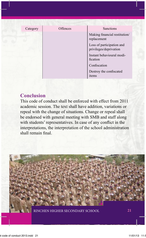| Category | <b>Offences</b> | <b>Sanctions</b>                                    |
|----------|-----------------|-----------------------------------------------------|
|          |                 | Making financial restitution/<br>replacement        |
|          |                 | Loss of participation and<br>privileges/deprivation |
|          |                 | Instant behavioural modi-<br>fication               |
|          |                 | Confiscation                                        |
|          |                 | Destroy the confiscated<br>items                    |

# **Conclusion**

This code of conduct shall be enforced with effect from 2011 academic session. The text shall have addition, variations or repeal with the change of situations. Change or repeal shall be endorsed with general meeting with SMB and staff along with students' representatives. In case of any conflict in the interpretations, the interpretation of the school administration shall remain final.

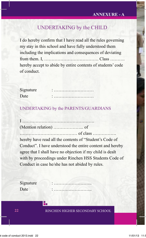# UNDERTAKING by the CHILD

I do hereby confirm that I have read all the rules governing my stay in this school and have fully understood them including the implications and consequences of deviating from them. I, ………………………………. Class ………. hereby accept to abide by entire contents of students' code of conduct.

| Signature | ۰<br>$\sim$ |
|-----------|-------------|
| Date      | ۰           |

# UNDERTAKING by the PARENTS/GUARDIANS

| hereby have read all the contents of "Student's Code of   |
|-----------------------------------------------------------|
| Conduct". I have understood the entire content and hereby |
| agree that I shall have no objection if my child is dealt |
| with by proceedings under Rinchen HSS Students Code of    |
| Conduct in case he/she has not abided by rules.           |
|                                                           |
|                                                           |

| Signature | $\bullet$                       |  |
|-----------|---------------------------------|--|
| Date      |                                 |  |
|           |                                 |  |
|           | 52                              |  |
| 22        | RINCHEN HIGHER SECONDARY SCHOOL |  |
|           |                                 |  |
|           |                                 |  |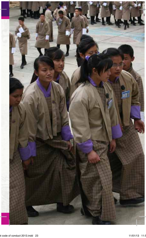